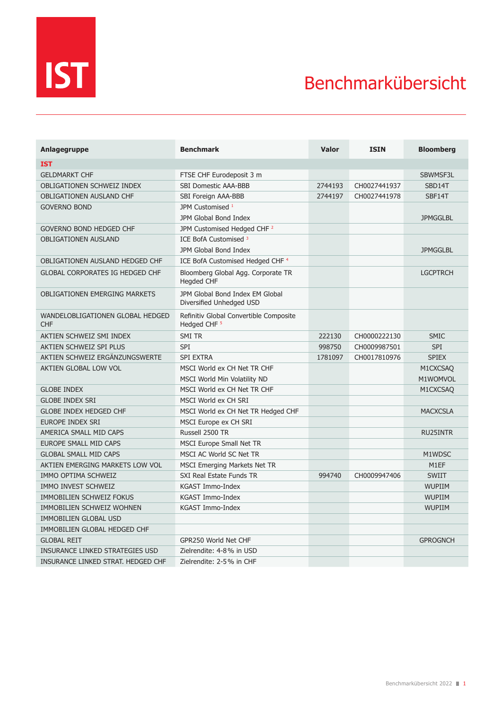

## Benchmarkübersicht

| Anlagegruppe                                   | <b>Benchmark</b>                                                  | <b>Valor</b> | <b>ISIN</b>  | <b>Bloomberg</b> |
|------------------------------------------------|-------------------------------------------------------------------|--------------|--------------|------------------|
| <b>IST</b>                                     |                                                                   |              |              |                  |
| <b>GELDMARKT CHF</b>                           | FTSE CHF Eurodeposit 3 m                                          |              |              | SBWMSF3L         |
| <b>OBLIGATIONEN SCHWEIZ INDEX</b>              | SBI Domestic AAA-BBB                                              | 2744193      | CH0027441937 | SBD14T           |
| <b>OBLIGATIONEN AUSLAND CHF</b>                | SBI Foreign AAA-BBB                                               | 2744197      | CH0027441978 | SBF14T           |
| <b>GOVERNO BOND</b>                            | JPM Customised 1                                                  |              |              |                  |
|                                                | JPM Global Bond Index                                             |              |              | <b>JPMGGLBL</b>  |
| <b>GOVERNO BOND HEDGED CHF</b>                 | JPM Customised Hedged CHF <sup>2</sup>                            |              |              |                  |
| <b>OBLIGATIONEN AUSLAND</b>                    | ICE BofA Customised <sup>3</sup>                                  |              |              |                  |
|                                                | JPM Global Bond Index                                             |              |              | <b>JPMGGLBL</b>  |
| OBLIGATIONEN AUSLAND HEDGED CHF                | ICE BofA Customised Hedged CHF <sup>4</sup>                       |              |              |                  |
| <b>GLOBAL CORPORATES IG HEDGED CHF</b>         | Bloomberg Global Agg. Corporate TR<br><b>Hegded CHF</b>           |              |              | <b>LGCPTRCH</b>  |
| <b>OBLIGATIONEN EMERGING MARKETS</b>           | JPM Global Bond Index EM Global<br>Diversified Unhedged USD       |              |              |                  |
| WANDELOBLIGATIONEN GLOBAL HEDGED<br><b>CHF</b> | Refinitiv Global Convertible Composite<br>Hedged CHF <sup>5</sup> |              |              |                  |
| AKTIEN SCHWEIZ SMI INDEX                       | SMI TR                                                            | 222130       | CH0000222130 | <b>SMIC</b>      |
| AKTIEN SCHWEIZ SPI PLUS                        | SPI                                                               | 998750       | CH0009987501 | <b>SPI</b>       |
| AKTIEN SCHWEIZ ERGÄNZUNGSWERTE                 | <b>SPI EXTRA</b>                                                  | 1781097      | CH0017810976 | <b>SPIEX</b>     |
| AKTIEN GLOBAL LOW VOL                          | MSCI World ex CH Net TR CHF                                       |              |              | M1CXCSAQ         |
|                                                | MSCI World Min Volatility ND                                      |              |              | M1WOMVOL         |
| <b>GLOBE INDEX</b>                             | MSCI World ex CH Net TR CHF                                       |              |              | M1CXCSAQ         |
| <b>GLOBE INDEX SRI</b>                         | MSCI World ex CH SRI                                              |              |              |                  |
| <b>GLOBE INDEX HEDGED CHF</b>                  | MSCI World ex CH Net TR Hedged CHF                                |              |              | <b>MACXCSLA</b>  |
| <b>EUROPE INDEX SRI</b>                        | MSCI Europe ex CH SRI                                             |              |              |                  |
| AMERICA SMALL MID CAPS                         | Russell 2500 TR                                                   |              |              | <b>RU25INTR</b>  |
| <b>EUROPE SMALL MID CAPS</b>                   | <b>MSCI Europe Small Net TR</b>                                   |              |              |                  |
| <b>GLOBAL SMALL MID CAPS</b>                   | MSCI AC World SC Net TR                                           |              |              | M1WDSC           |
| AKTIEN EMERGING MARKETS LOW VOL                | <b>MSCI Emerging Markets Net TR</b>                               |              |              | M1EF             |
| IMMO OPTIMA SCHWEIZ                            | SXI Real Estate Funds TR                                          | 994740       | CH0009947406 | <b>SWIIT</b>     |
| IMMO INVEST SCHWEIZ                            | KGAST Immo-Index                                                  |              |              | <b>WUPIIM</b>    |
| IMMOBILIEN SCHWEIZ FOKUS                       | KGAST Immo-Index                                                  |              |              | <b>WUPIIM</b>    |
| IMMOBILIEN SCHWEIZ WOHNEN                      | KGAST Immo-Index                                                  |              |              | <b>WUPIIM</b>    |
| <b>IMMOBILIEN GLOBAL USD</b>                   |                                                                   |              |              |                  |
| IMMOBILIEN GLOBAL HEDGED CHF                   |                                                                   |              |              |                  |
| <b>GLOBAL REIT</b>                             | GPR250 World Net CHF                                              |              |              | <b>GPROGNCH</b>  |
| INSURANCE LINKED STRATEGIES USD                | Zielrendite: 4-8% in USD                                          |              |              |                  |
| INSURANCE LINKED STRAT. HEDGED CHF             | Zielrendite: 2-5% in CHF                                          |              |              |                  |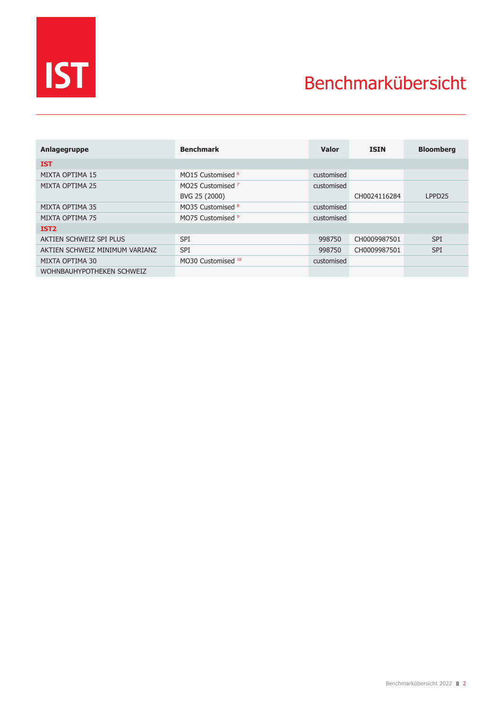

## Benchmarkübersicht

| Anlagegruppe                   | <b>Benchmark</b>             | <b>Valor</b> | <b>ISIN</b>  | <b>Bloomberg</b>   |
|--------------------------------|------------------------------|--------------|--------------|--------------------|
| <b>IST</b>                     |                              |              |              |                    |
| MIXTA OPTIMA 15                | MO15 Customised <sup>6</sup> | customised   |              |                    |
| MIXTA OPTIMA 25                | MO25 Customised <sup>7</sup> | customised   |              |                    |
|                                | BVG 25 (2000)                |              | CH0024116284 | LPPD <sub>25</sub> |
| MIXTA OPTIMA 35                | MO35 Customised 8            | customised   |              |                    |
| MIXTA OPTIMA 75                | MO75 Customised 9            | customised   |              |                    |
| IST <sub>2</sub>               |                              |              |              |                    |
| AKTIEN SCHWEIZ SPI PLUS        | <b>SPI</b>                   | 998750       | CH0009987501 | <b>SPI</b>         |
| AKTIEN SCHWEIZ MINIMUM VARIANZ | <b>SPI</b>                   | 998750       | CH0009987501 | <b>SPI</b>         |
| MIXTA OPTIMA 30                | MO30 Customised 10           | customised   |              |                    |
| WOHNBAUHYPOTHEKEN SCHWEIZ      |                              |              |              |                    |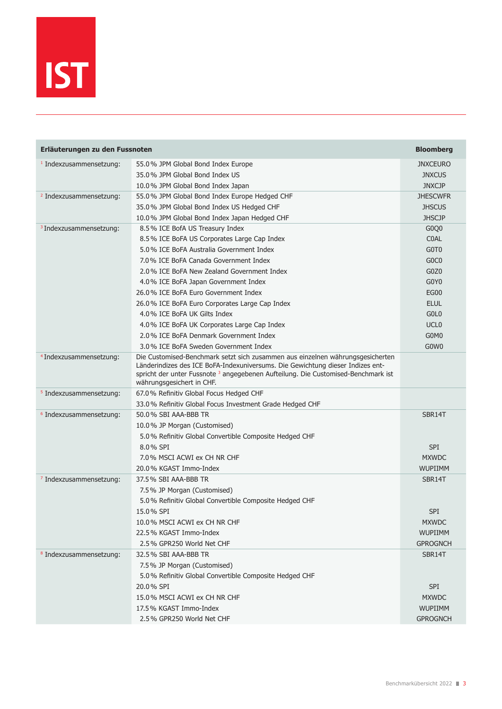

| Erläuterungen zu den Fussnoten     | <b>Bloomberg</b>                                                                                                                                                                                                                                                                              |                               |
|------------------------------------|-----------------------------------------------------------------------------------------------------------------------------------------------------------------------------------------------------------------------------------------------------------------------------------------------|-------------------------------|
| <sup>1</sup> Indexzusammensetzung: | 55.0% JPM Global Bond Index Europe                                                                                                                                                                                                                                                            | <b>JNXCEURO</b>               |
|                                    | 35.0% JPM Global Bond Index US                                                                                                                                                                                                                                                                | <b>JNXCUS</b>                 |
|                                    | 10.0% JPM Global Bond Index Japan                                                                                                                                                                                                                                                             | <b>JNXCJP</b>                 |
| <sup>2</sup> Indexzusammensetzung: | 55.0% JPM Global Bond Index Europe Hedged CHF                                                                                                                                                                                                                                                 | <b>JHESCWFR</b>               |
|                                    | 35.0% JPM Global Bond Index US Hedged CHF                                                                                                                                                                                                                                                     | <b>JHSCUS</b>                 |
|                                    | 10.0% JPM Global Bond Index Japan Hedged CHF                                                                                                                                                                                                                                                  | <b>JHSCJP</b>                 |
| <sup>3</sup> Indexzusammensetzung: | 8.5% ICE BofA US Treasury Index                                                                                                                                                                                                                                                               | G <sub>0</sub> Q <sub>0</sub> |
|                                    | 8.5% ICE BoFA US Corporates Large Cap Index                                                                                                                                                                                                                                                   | <b>COAL</b>                   |
|                                    | 5.0% ICE BoFA Australia Government Index                                                                                                                                                                                                                                                      | G0T <sub>0</sub>              |
|                                    | 7.0% ICE BoFA Canada Government Index                                                                                                                                                                                                                                                         | G <sub>0</sub> C <sub>0</sub> |
|                                    | 2.0% ICE BoFA New Zealand Government Index                                                                                                                                                                                                                                                    | G <sub>0</sub> Z <sub>0</sub> |
|                                    | 4.0% ICE BoFA Japan Government Index                                                                                                                                                                                                                                                          | G0Y0                          |
|                                    | 26.0% ICE BoFA Euro Government Index                                                                                                                                                                                                                                                          | <b>EG00</b>                   |
|                                    | 26.0% ICE BoFA Euro Corporates Large Cap Index                                                                                                                                                                                                                                                | <b>ELUL</b>                   |
|                                    | 4.0% ICE BoFA UK Gilts Index                                                                                                                                                                                                                                                                  | GOL <sub>0</sub>              |
|                                    | 4.0% ICE BoFA UK Corporates Large Cap Index                                                                                                                                                                                                                                                   | UCL <sub>0</sub>              |
|                                    | 2.0% ICE BoFA Denmark Government Index                                                                                                                                                                                                                                                        | G0M0                          |
|                                    | 3.0% ICE BoFA Sweden Government Index                                                                                                                                                                                                                                                         | G0W0                          |
| <sup>4</sup> Indexzusammensetzung: | Die Customised-Benchmark setzt sich zusammen aus einzelnen währungsgesicherten<br>Länderindizes des ICE BoFA-Indexuniversums. Die Gewichtung dieser Indizes ent-<br>spricht der unter Fussnote <sup>3</sup> angegebenen Aufteilung. Die Customised-Benchmark ist<br>währungsgesichert in CHF. |                               |
| <sup>5</sup> Indexzusammensetzung: | 67.0% Refinitiv Global Focus Hedged CHF                                                                                                                                                                                                                                                       |                               |
|                                    | 33.0% Refinitiv Global Focus Investment Grade Hedged CHF                                                                                                                                                                                                                                      |                               |
| <sup>6</sup> Indexzusammensetzung: | 50.0% SBI AAA-BBB TR                                                                                                                                                                                                                                                                          | SBR14T                        |
|                                    | 10.0% JP Morgan (Customised)                                                                                                                                                                                                                                                                  |                               |
|                                    | 5.0% Refinitiv Global Convertible Composite Hedged CHF                                                                                                                                                                                                                                        |                               |
|                                    | 8.0% SPI                                                                                                                                                                                                                                                                                      | <b>SPI</b>                    |
|                                    | 7.0% MSCI ACWI ex CH NR CHF                                                                                                                                                                                                                                                                   | <b>MXWDC</b>                  |
|                                    | 20.0% KGAST Immo-Index                                                                                                                                                                                                                                                                        | <b>WUPIIMM</b>                |
| <sup>7</sup> Indexzusammensetzung: | 37.5% SBI AAA-BBB TR                                                                                                                                                                                                                                                                          | SBR14T                        |
|                                    | 7.5% JP Morgan (Customised)                                                                                                                                                                                                                                                                   |                               |
|                                    | 5.0% Refinitiv Global Convertible Composite Hedged CHF                                                                                                                                                                                                                                        |                               |
|                                    | 15.0% SPI                                                                                                                                                                                                                                                                                     | SPI                           |
|                                    | 10.0% MSCI ACWI ex CH NR CHF                                                                                                                                                                                                                                                                  | <b>MXWDC</b>                  |
|                                    | 22.5% KGAST Immo-Index                                                                                                                                                                                                                                                                        | <b>WUPIIMM</b>                |
|                                    | 2.5% GPR250 World Net CHF                                                                                                                                                                                                                                                                     | <b>GPROGNCH</b>               |
| <sup>8</sup> Indexzusammensetzung: | 32.5% SBI AAA-BBB TR                                                                                                                                                                                                                                                                          | SBR14T                        |
|                                    | 7.5% JP Morgan (Customised)                                                                                                                                                                                                                                                                   |                               |
|                                    | 5.0% Refinitiv Global Convertible Composite Hedged CHF                                                                                                                                                                                                                                        |                               |
|                                    | 20.0% SPI                                                                                                                                                                                                                                                                                     | <b>SPI</b>                    |
|                                    | 15.0% MSCI ACWI ex CH NR CHF                                                                                                                                                                                                                                                                  | <b>MXWDC</b>                  |
|                                    | 17.5% KGAST Immo-Index                                                                                                                                                                                                                                                                        | <b>WUPIIMM</b>                |
|                                    | 2.5% GPR250 World Net CHF                                                                                                                                                                                                                                                                     | <b>GPROGNCH</b>               |